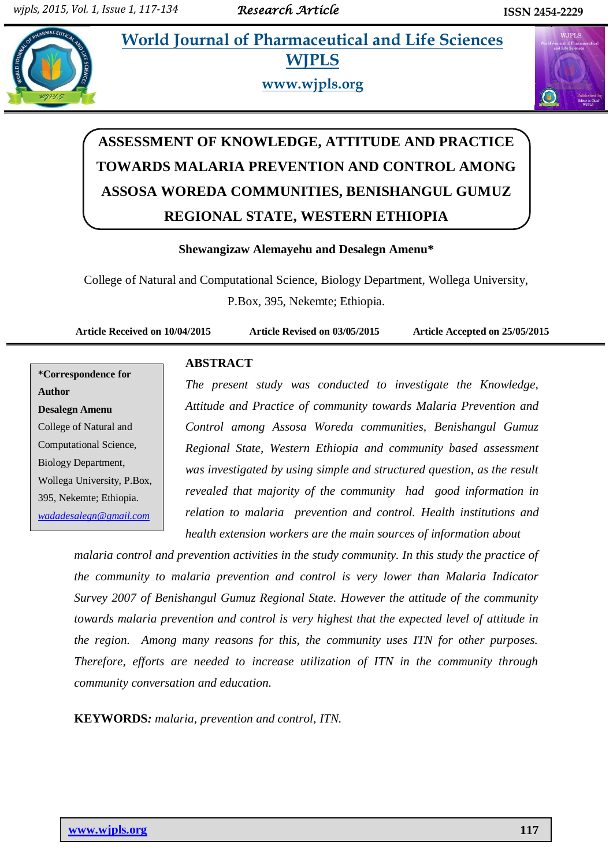**AMELET A.1 In al. 2015 Morld Journal of Pharmaceutical and Life Sciences WJPLS**



**www.wjpls.org**



# **ASSESSMENT OF KNOWLEDGE, ATTITUDE AND PRACTICE TOWARDS MALARIA PREVENTION AND CONTROL AMONG ASSOSA WOREDA COMMUNITIES, BENISHANGUL GUMUZ REGIONAL STATE, WESTERN ETHIOPIA**

#### **Shewangizaw Alemayehu and Desalegn Amenu\***

College of Natural and Computational Science, Biology Department, Wollega University, P.Box, 395, Nekemte; Ethiopia.

**Article Received on 10/04/2015 Article Revised on 03/05/2015 Article Accepted on 25/05/2015**

**\*Correspondence for Author Desalegn Amenu** College of Natural and Computational Science, Biology Department, Wollega University, P.Box, 395, Nekemte; Ethiopia. *[wadadesalegn@gmail.com](mailto:wadadesalegn@gmail.com)*

# **ABSTRACT**

*The present study was conducted to investigate the Knowledge, Attitude and Practice of community towards Malaria Prevention and Control among Assosa Woreda communities, Benishangul Gumuz Regional State, Western Ethiopia and community based assessment was investigated by using simple and structured question, as the result revealed that majority of the community had good information in relation to malaria prevention and control. Health institutions and health extension workers are the main sources of information about* 

*malaria control and prevention activities in the study community. In this study the practice of the community to malaria prevention and control is very lower than Malaria Indicator Survey 2007 of Benishangul Gumuz Regional State. However the attitude of the community towards malaria prevention and control is very highest that the expected level of attitude in the region. Among many reasons for this, the community uses ITN for other purposes. Therefore, efforts are needed to increase utilization of ITN in the community through community conversation and education.*

**KEYWORDS***: malaria, prevention and control, ITN.*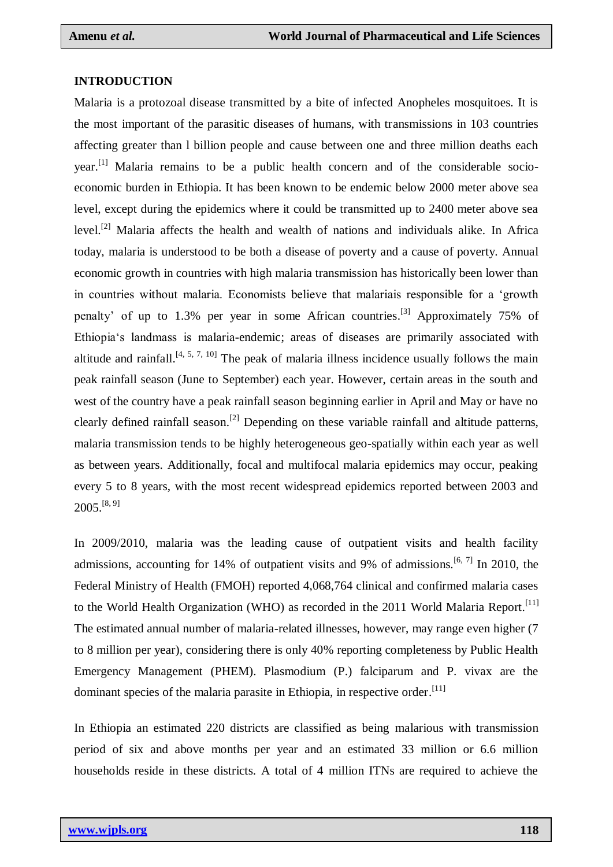#### **INTRODUCTION**

Malaria is a protozoal disease transmitted by a bite of infected Anopheles mosquitoes. It is the most important of the parasitic diseases of humans, with transmissions in 103 countries affecting greater than l billion people and cause between one and three million deaths each year.<sup>[1]</sup> Malaria remains to be a public health concern and of the considerable socioeconomic burden in Ethiopia. It has been known to be endemic below 2000 meter above sea level, except during the epidemics where it could be transmitted up to 2400 meter above sea level.<sup>[2]</sup> Malaria affects the health and wealth of nations and individuals alike. In Africa today, malaria is understood to be both a disease of poverty and a cause of poverty. Annual economic growth in countries with high malaria transmission has historically been lower than in countries without malaria. Economists believe that malariais responsible for a 'growth penalty' of up to 1.3% per year in some African countries.<sup>[3]</sup> Approximately 75% of Ethiopia‗s landmass is malaria-endemic; areas of diseases are primarily associated with altitude and rainfall.<sup>[4, 5, 7, 10]</sup> The peak of malaria illness incidence usually follows the main peak rainfall season (June to September) each year. However, certain areas in the south and west of the country have a peak rainfall season beginning earlier in April and May or have no clearly defined rainfall season.<sup>[2]</sup> Depending on these variable rainfall and altitude patterns, malaria transmission tends to be highly heterogeneous geo-spatially within each year as well as between years. Additionally, focal and multifocal malaria epidemics may occur, peaking every 5 to 8 years, with the most recent widespread epidemics reported between 2003 and  $2005.^{[8, 9]}$ 

In 2009/2010, malaria was the leading cause of outpatient visits and health facility admissions, accounting for 14% of outpatient visits and 9% of admissions.  $[6, 7]$  In 2010, the Federal Ministry of Health (FMOH) reported 4,068,764 clinical and confirmed malaria cases to the World Health Organization (WHO) as recorded in the 2011 World Malaria Report.<sup>[11]</sup> The estimated annual number of malaria-related illnesses, however, may range even higher (7 to 8 million per year), considering there is only 40% reporting completeness by Public Health Emergency Management (PHEM). Plasmodium (P.) falciparum and P. vivax are the dominant species of the malaria parasite in Ethiopia, in respective order.<sup>[11]</sup>

In Ethiopia an estimated 220 districts are classified as being malarious with transmission period of six and above months per year and an estimated 33 million or 6.6 million households reside in these districts. A total of 4 million ITNs are required to achieve the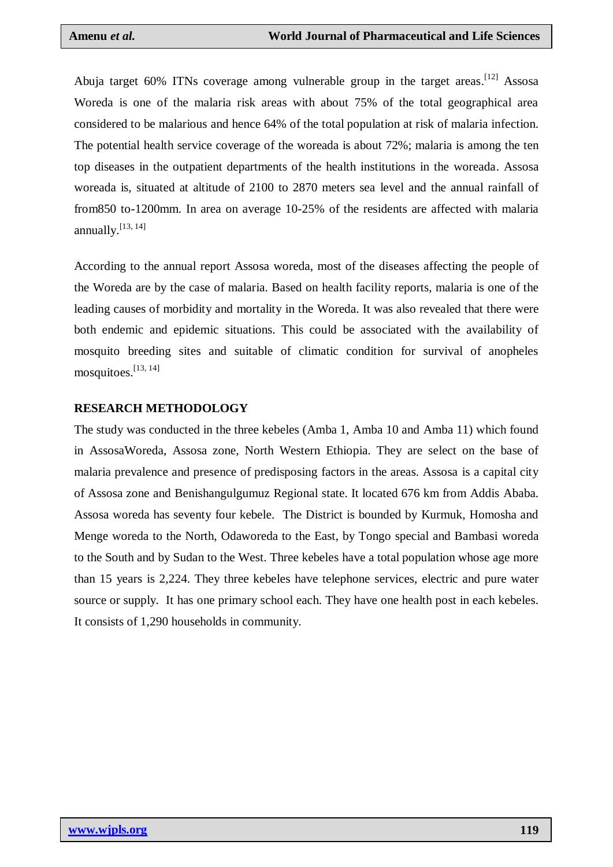Abuja target 60% ITNs coverage among vulnerable group in the target areas.<sup>[12]</sup> Assosa Woreda is one of the malaria risk areas with about 75% of the total geographical area considered to be malarious and hence 64% of the total population at risk of malaria infection. The potential health service coverage of the woreada is about 72%; malaria is among the ten top diseases in the outpatient departments of the health institutions in the woreada. Assosa woreada is, situated at altitude of 2100 to 2870 meters sea level and the annual rainfall of from850 to-1200mm. In area on average 10-25% of the residents are affected with malaria annually.<sup>[13, 14]</sup>

According to the annual report Assosa woreda, most of the diseases affecting the people of the Woreda are by the case of malaria. Based on health facility reports, malaria is one of the leading causes of morbidity and mortality in the Woreda. It was also revealed that there were both endemic and epidemic situations. This could be associated with the availability of mosquito breeding sites and suitable of climatic condition for survival of anopheles mosquitoes. [13, 14]

#### **RESEARCH METHODOLOGY**

The study was conducted in the three kebeles (Amba 1, Amba 10 and Amba 11) which found in AssosaWoreda, Assosa zone, North Western Ethiopia. They are select on the base of malaria prevalence and presence of predisposing factors in the areas. Assosa is a capital city of Assosa zone and Benishangulgumuz Regional state. It located 676 km from Addis Ababa. Assosa woreda has seventy four kebele. The District is bounded by Kurmuk, Homosha and Menge woreda to the North, Odaworeda to the East, by Tongo special and Bambasi woreda to the South and by Sudan to the West. Three kebeles have a total population whose age more than 15 years is 2,224. They three kebeles have telephone services, electric and pure water source or supply. It has one primary school each. They have one health post in each kebeles. It consists of 1,290 households in community.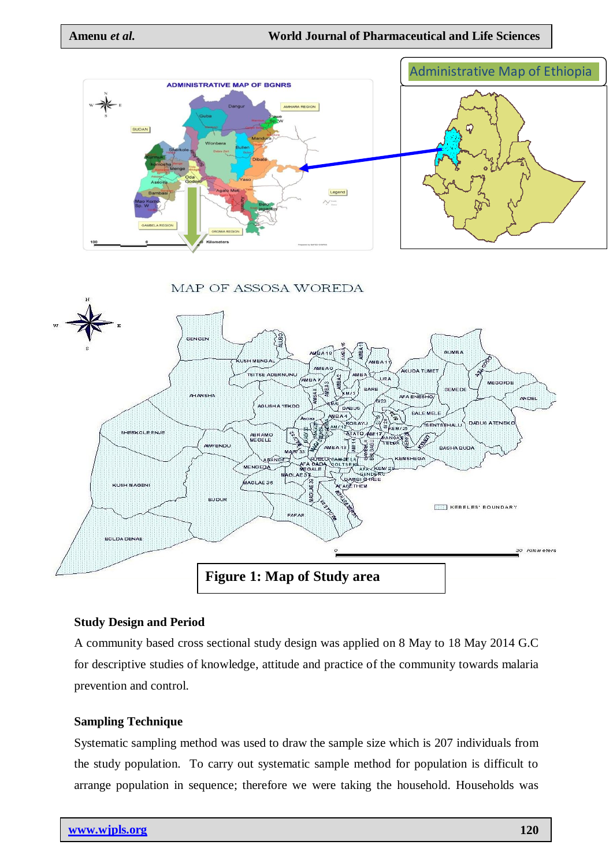

MAP OF ASSOSA WOREDA



# **Study Design and Period**

A community based cross sectional study design was applied on 8 May to 18 May 2014 G.C for descriptive studies of knowledge, attitude and practice of the community towards malaria prevention and control.

# **Sampling Technique**

Systematic sampling method was used to draw the sample size which is 207 individuals from the study population. To carry out systematic sample method for population is difficult to arrange population in sequence; therefore we were taking the household. Households was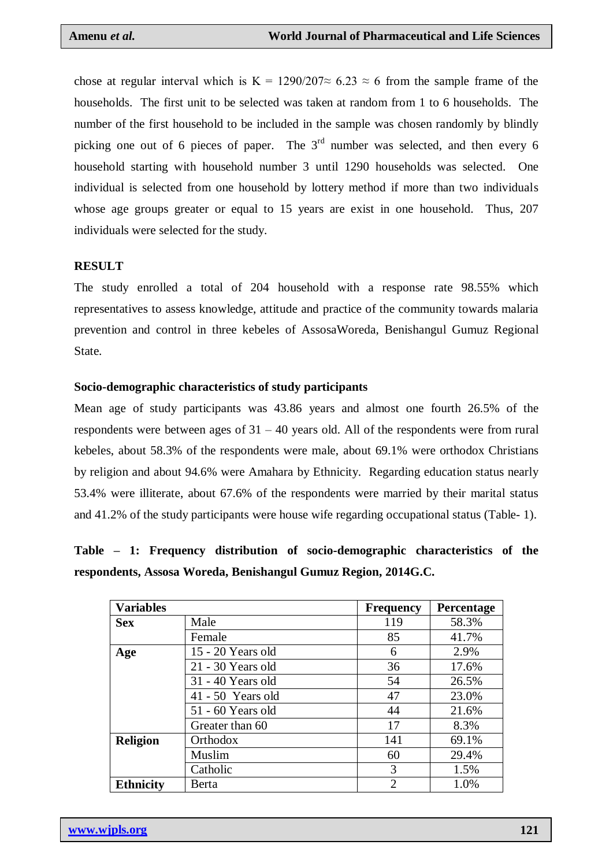chose at regular interval which is K = 1290/207 $\approx$  6.23  $\approx$  6 from the sample frame of the households. The first unit to be selected was taken at random from 1 to 6 households. The number of the first household to be included in the sample was chosen randomly by blindly picking one out of 6 pieces of paper. The 3<sup>rd</sup> number was selected, and then every 6 household starting with household number 3 until 1290 households was selected. One individual is selected from one household by lottery method if more than two individuals whose age groups greater or equal to 15 years are exist in one household. Thus, 207 individuals were selected for the study.

#### **RESULT**

The study enrolled a total of 204 household with a response rate 98.55% which representatives to assess knowledge, attitude and practice of the community towards malaria prevention and control in three kebeles of AssosaWoreda, Benishangul Gumuz Regional State.

#### **Socio-demographic characteristics of study participants**

Mean age of study participants was 43.86 years and almost one fourth 26.5% of the respondents were between ages of  $31 - 40$  years old. All of the respondents were from rural kebeles, about 58.3% of the respondents were male, about 69.1% were orthodox Christians by religion and about 94.6% were Amahara by Ethnicity. Regarding education status nearly 53.4% were illiterate, about 67.6% of the respondents were married by their marital status and 41.2% of the study participants were house wife regarding occupational status (Table- 1).

# **Table – 1: Frequency distribution of socio-demographic characteristics of the respondents, Assosa Woreda, Benishangul Gumuz Region, 2014G.C.**

| <b>Variables</b> |                     | <b>Frequency</b> | Percentage |
|------------------|---------------------|------------------|------------|
| <b>Sex</b>       | Male                | 119              | 58.3%      |
|                  | Female              | 85               | 41.7%      |
| Age              | 15 - 20 Years old   | 6                | 2.9%       |
|                  | 21 - 30 Years old   | 36               | 17.6%      |
|                  | 31 - 40 Years old   | 54               | 26.5%      |
|                  | $41 - 50$ Years old | 47               | 23.0%      |
|                  | 51 - 60 Years old   | 44               | 21.6%      |
|                  | Greater than 60     | 17               | 8.3%       |
| <b>Religion</b>  | <b>Orthodox</b>     | 141              | 69.1%      |
|                  | Muslim              | 60               | 29.4%      |
|                  | Catholic            | 3                | 1.5%       |
| <b>Ethnicity</b> | <b>Berta</b>        | $\overline{2}$   | 1.0%       |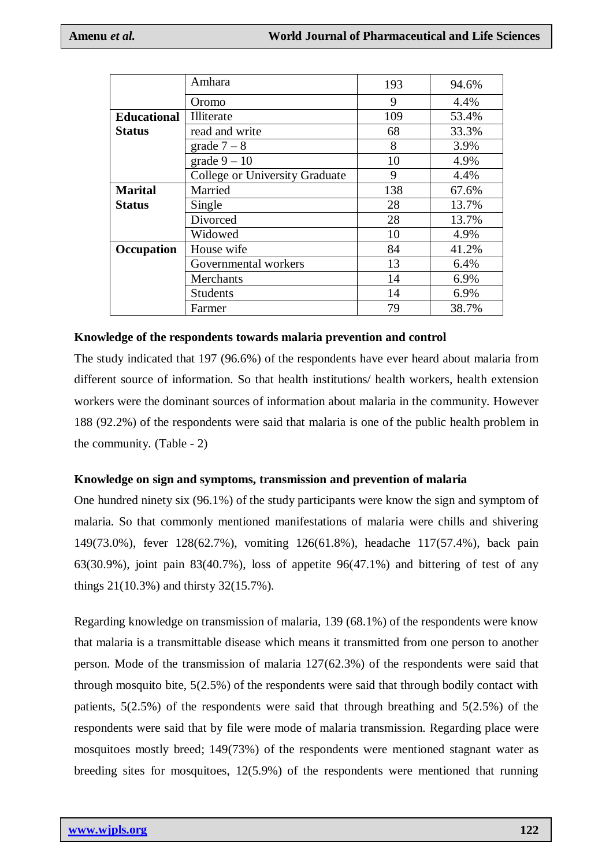|                    | Amhara                         | 193 | 94.6% |
|--------------------|--------------------------------|-----|-------|
|                    | Oromo                          | 9   | 4.4%  |
| <b>Educational</b> | Illiterate                     | 109 | 53.4% |
| <b>Status</b>      | read and write                 | 68  | 33.3% |
|                    | grade $7-8$                    | 8   | 3.9%  |
|                    | grade $9-10$                   | 10  | 4.9%  |
|                    | College or University Graduate | 9   | 4.4%  |
| <b>Marital</b>     | Married                        | 138 | 67.6% |
| <b>Status</b>      | Single                         | 28  | 13.7% |
|                    | Divorced                       | 28  | 13.7% |
|                    | Widowed                        | 10  | 4.9%  |
| Occupation         | House wife                     | 84  | 41.2% |
|                    | Governmental workers           | 13  | 6.4%  |
|                    | Merchants                      | 14  | 6.9%  |
|                    | <b>Students</b>                | 14  | 6.9%  |
|                    | Farmer                         | 79  | 38.7% |

#### **Knowledge of the respondents towards malaria prevention and control**

The study indicated that 197 (96.6%) of the respondents have ever heard about malaria from different source of information. So that health institutions/ health workers, health extension workers were the dominant sources of information about malaria in the community. However 188 (92.2%) of the respondents were said that malaria is one of the public health problem in the community. (Table - 2)

# **Knowledge on sign and symptoms, transmission and prevention of malaria**

One hundred ninety six (96.1%) of the study participants were know the sign and symptom of malaria. So that commonly mentioned manifestations of malaria were chills and shivering 149(73.0%), fever 128(62.7%), vomiting 126(61.8%), headache 117(57.4%), back pain 63(30.9%), joint pain 83(40.7%), loss of appetite 96(47.1%) and bittering of test of any things 21(10.3%) and thirsty 32(15.7%).

Regarding knowledge on transmission of malaria, 139 (68.1%) of the respondents were know that malaria is a transmittable disease which means it transmitted from one person to another person. Mode of the transmission of malaria 127(62.3%) of the respondents were said that through mosquito bite, 5(2.5%) of the respondents were said that through bodily contact with patients, 5(2.5%) of the respondents were said that through breathing and 5(2.5%) of the respondents were said that by file were mode of malaria transmission. Regarding place were mosquitoes mostly breed; 149(73%) of the respondents were mentioned stagnant water as breeding sites for mosquitoes, 12(5.9%) of the respondents were mentioned that running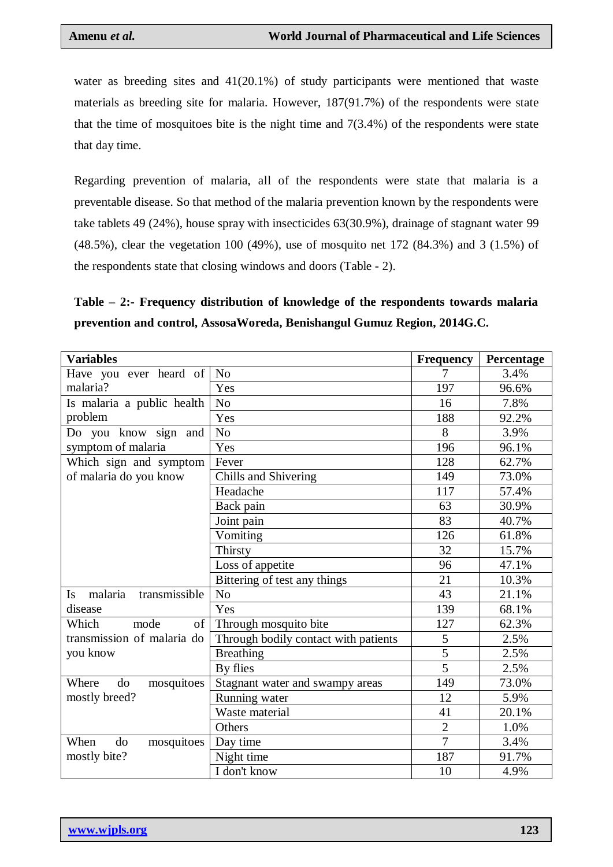water as breeding sites and 41(20.1%) of study participants were mentioned that waste materials as breeding site for malaria. However, 187(91.7%) of the respondents were state that the time of mosquitoes bite is the night time and  $7(3.4%)$  of the respondents were state that day time.

Regarding prevention of malaria, all of the respondents were state that malaria is a preventable disease. So that method of the malaria prevention known by the respondents were take tablets 49 (24%), house spray with insecticides 63(30.9%), drainage of stagnant water 99 (48.5%), clear the vegetation 100 (49%), use of mosquito net 172 (84.3%) and 3 (1.5%) of the respondents state that closing windows and doors (Table - 2).

# **Table – 2:- Frequency distribution of knowledge of the respondents towards malaria prevention and control, AssosaWoreda, Benishangul Gumuz Region, 2014G.C.**

| <b>Variables</b>                      |                                      | <b>Frequency</b> | Percentage |
|---------------------------------------|--------------------------------------|------------------|------------|
| Have you ever heard of                | N <sub>o</sub>                       | 7                | 3.4%       |
| malaria?                              | Yes                                  | 197              | 96.6%      |
| Is malaria a public health            | N <sub>o</sub>                       | 16               | 7.8%       |
| problem                               | Yes                                  | 188              | 92.2%      |
| Do you know sign and                  | N <sub>o</sub>                       | 8                | 3.9%       |
| symptom of malaria                    | Yes                                  | 196              | 96.1%      |
| Which sign and symptom                | Fever                                | 128              | 62.7%      |
| of malaria do you know                | Chills and Shivering                 | 149              | 73.0%      |
|                                       | Headache                             | 117              | 57.4%      |
|                                       | Back pain                            | 63               | 30.9%      |
|                                       | Joint pain                           | 83               | 40.7%      |
|                                       | Vomiting                             | 126              | 61.8%      |
|                                       | Thirsty                              | 32               | 15.7%      |
|                                       | Loss of appetite                     | 96               | 47.1%      |
|                                       | Bittering of test any things         | 21               | 10.3%      |
| malaria<br>transmissible<br><b>Is</b> | N <sub>0</sub>                       | 43               | 21.1%      |
| disease                               | Yes                                  | 139              | 68.1%      |
| of<br>Which<br>mode                   | Through mosquito bite                | 127              | 62.3%      |
| transmission of malaria do            | Through bodily contact with patients | 5                | 2.5%       |
| you know                              | <b>Breathing</b>                     | $\overline{5}$   | 2.5%       |
|                                       | By flies                             | $\overline{5}$   | 2.5%       |
| do<br>Where<br>mosquitoes             | Stagnant water and swampy areas      | 149              | 73.0%      |
| mostly breed?                         | Running water                        | 12               | 5.9%       |
|                                       | Waste material                       | 41               | 20.1%      |
|                                       | Others                               | $\overline{2}$   | 1.0%       |
| When<br>do<br>mosquitoes              | Day time                             | $\overline{7}$   | 3.4%       |
| mostly bite?                          | Night time                           | 187              | 91.7%      |
|                                       | I don't know                         | 10               | 4.9%       |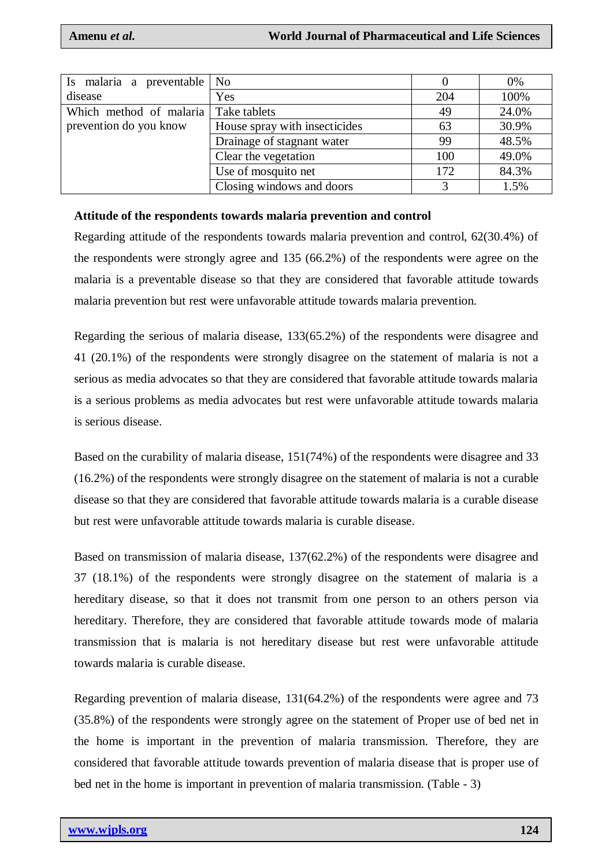| Is malaria a preventable | N <sub>o</sub>                |     | 0%    |
|--------------------------|-------------------------------|-----|-------|
| disease                  | Yes                           | 204 | 100%  |
| Which method of malaria  | Take tablets                  | 49  | 24.0% |
| prevention do you know   | House spray with insecticides | 63  | 30.9% |
|                          | Drainage of stagnant water    | 99  | 48.5% |
|                          | Clear the vegetation          | 100 | 49.0% |
|                          | Use of mosquito net           | 172 | 84.3% |
|                          | Closing windows and doors     | 3   | 1.5%  |

#### **Attitude of the respondents towards malaria prevention and control**

Regarding attitude of the respondents towards malaria prevention and control, 62(30.4%) of the respondents were strongly agree and 135 (66.2%) of the respondents were agree on the malaria is a preventable disease so that they are considered that favorable attitude towards malaria prevention but rest were unfavorable attitude towards malaria prevention.

Regarding the serious of malaria disease, 133(65.2%) of the respondents were disagree and 41 (20.1%) of the respondents were strongly disagree on the statement of malaria is not a serious as media advocates so that they are considered that favorable attitude towards malaria is a serious problems as media advocates but rest were unfavorable attitude towards malaria is serious disease.

Based on the curability of malaria disease, 151(74%) of the respondents were disagree and 33 (16.2%) of the respondents were strongly disagree on the statement of malaria is not a curable disease so that they are considered that favorable attitude towards malaria is a curable disease but rest were unfavorable attitude towards malaria is curable disease.

Based on transmission of malaria disease, 137(62.2%) of the respondents were disagree and 37 (18.1%) of the respondents were strongly disagree on the statement of malaria is a hereditary disease, so that it does not transmit from one person to an others person via hereditary. Therefore, they are considered that favorable attitude towards mode of malaria transmission that is malaria is not hereditary disease but rest were unfavorable attitude towards malaria is curable disease.

Regarding prevention of malaria disease, 131(64.2%) of the respondents were agree and 73 (35.8%) of the respondents were strongly agree on the statement of Proper use of bed net in the home is important in the prevention of malaria transmission. Therefore, they are considered that favorable attitude towards prevention of malaria disease that is proper use of bed net in the home is important in prevention of malaria transmission. (Table - 3)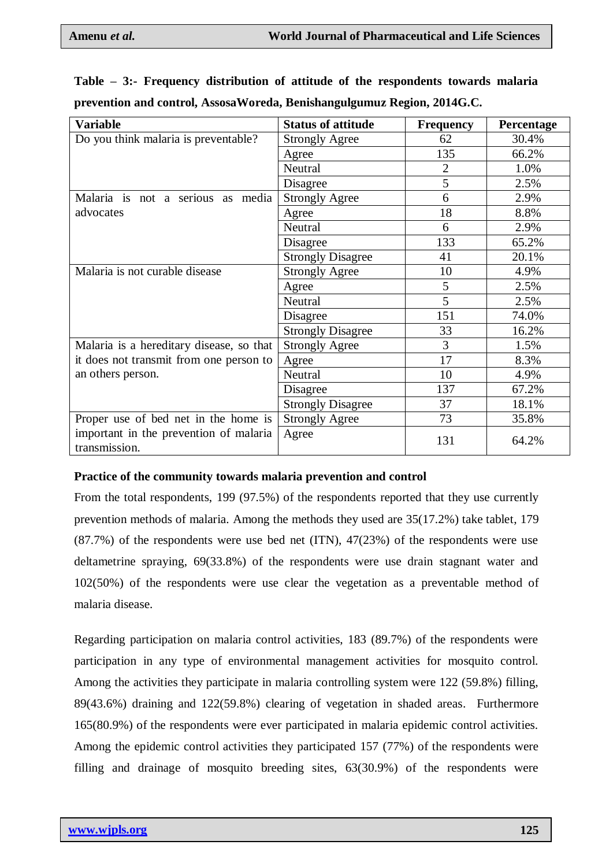| <b>Variable</b>                                         | <b>Status of attitude</b> | <b>Frequency</b> | Percentage |
|---------------------------------------------------------|---------------------------|------------------|------------|
| Do you think malaria is preventable?                    | <b>Strongly Agree</b>     | 62               | 30.4%      |
|                                                         | Agree                     | 135              | 66.2%      |
|                                                         | Neutral                   | 2                | 1.0%       |
|                                                         | Disagree                  | 5                | 2.5%       |
| Malaria is not a serious as media                       | <b>Strongly Agree</b>     | 6                | 2.9%       |
| advocates                                               | Agree                     | 18               | 8.8%       |
|                                                         | Neutral                   | 6                | 2.9%       |
|                                                         | Disagree                  | 133              | 65.2%      |
|                                                         | <b>Strongly Disagree</b>  | 41               | 20.1%      |
| Malaria is not curable disease                          | <b>Strongly Agree</b>     | 10               | 4.9%       |
|                                                         | Agree                     | 5                | 2.5%       |
|                                                         | Neutral                   | 5                | 2.5%       |
|                                                         | Disagree                  | 151              | 74.0%      |
|                                                         | <b>Strongly Disagree</b>  | 33               | 16.2%      |
| Malaria is a hereditary disease, so that                | <b>Strongly Agree</b>     | 3                | 1.5%       |
| it does not transmit from one person to                 | Agree                     | 17               | 8.3%       |
| an others person.                                       | Neutral                   | 10               | 4.9%       |
|                                                         | Disagree                  | 137              | 67.2%      |
|                                                         | <b>Strongly Disagree</b>  | 37               | 18.1%      |
| Proper use of bed net in the home is                    | <b>Strongly Agree</b>     | 73               | 35.8%      |
| important in the prevention of malaria<br>transmission. | Agree                     | 131              | 64.2%      |

**Table – 3:- Frequency distribution of attitude of the respondents towards malaria prevention and control, AssosaWoreda, Benishangulgumuz Region, 2014G.C.**

#### **Practice of the community towards malaria prevention and control**

From the total respondents, 199 (97.5%) of the respondents reported that they use currently prevention methods of malaria. Among the methods they used are 35(17.2%) take tablet, 179 (87.7%) of the respondents were use bed net (ITN), 47(23%) of the respondents were use deltametrine spraying, 69(33.8%) of the respondents were use drain stagnant water and 102(50%) of the respondents were use clear the vegetation as a preventable method of malaria disease.

Regarding participation on malaria control activities, 183 (89.7%) of the respondents were participation in any type of environmental management activities for mosquito control. Among the activities they participate in malaria controlling system were 122 (59.8%) filling, 89(43.6%) draining and 122(59.8%) clearing of vegetation in shaded areas. Furthermore 165(80.9%) of the respondents were ever participated in malaria epidemic control activities. Among the epidemic control activities they participated 157 (77%) of the respondents were filling and drainage of mosquito breeding sites, 63(30.9%) of the respondents were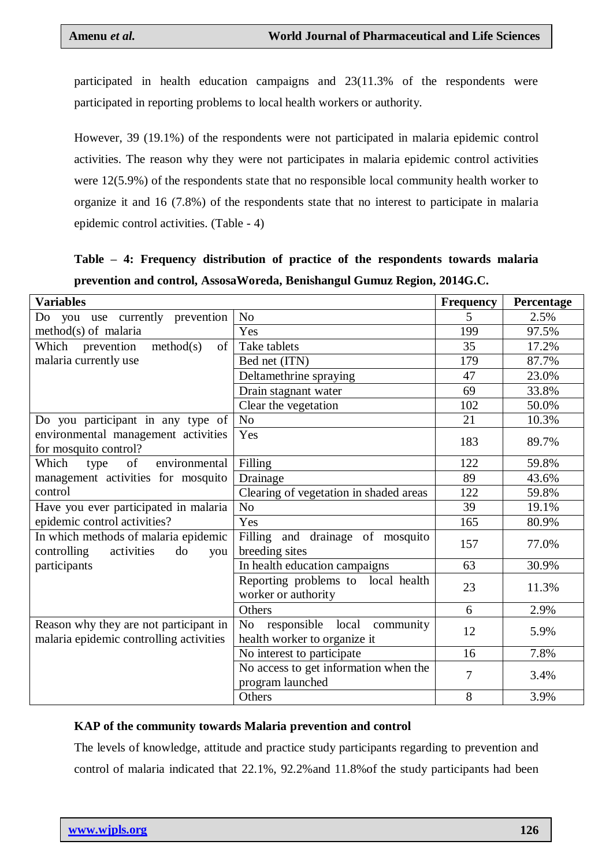participated in health education campaigns and 23(11.3% of the respondents were participated in reporting problems to local health workers or authority.

However, 39 (19.1%) of the respondents were not participated in malaria epidemic control activities. The reason why they were not participates in malaria epidemic control activities were 12(5.9%) of the respondents state that no responsible local community health worker to organize it and 16 (7.8%) of the respondents state that no interest to participate in malaria epidemic control activities. (Table - 4)

|  |  |  | Table – 4: Frequency distribution of practice of the respondents towards malaria |  |
|--|--|--|----------------------------------------------------------------------------------|--|
|  |  |  | prevention and control, AssosaWoreda, Benishangul Gumuz Region, 2014G.C.         |  |

| <b>Variables</b>                                                                  |                                                                                  | <b>Frequency</b> | Percentage |
|-----------------------------------------------------------------------------------|----------------------------------------------------------------------------------|------------------|------------|
| Do you use currently prevention                                                   | N <sub>o</sub>                                                                   | 5                | 2.5%       |
| $method(s)$ of malaria                                                            | Yes                                                                              | 199              | 97.5%      |
| method(s)<br>Which prevention<br>of                                               | Take tablets                                                                     | 35               | 17.2%      |
| malaria currently use                                                             | Bed net (ITN)                                                                    | 179              | 87.7%      |
|                                                                                   | Deltamethrine spraying                                                           | 47               | 23.0%      |
|                                                                                   | Drain stagnant water                                                             | 69               | 33.8%      |
|                                                                                   | Clear the vegetation                                                             | 102              | 50.0%      |
| Do you participant in any type of                                                 | No                                                                               | 21               | 10.3%      |
| environmental management activities<br>for mosquito control?                      | Yes                                                                              | 183              | 89.7%      |
| environmental<br>Which<br>of<br>type                                              | Filling                                                                          | 122              | 59.8%      |
| management activities for mosquito                                                | Drainage                                                                         | 89               | 43.6%      |
| control                                                                           | Clearing of vegetation in shaded areas                                           | 122              | 59.8%      |
| Have you ever participated in malaria                                             | N <sub>o</sub>                                                                   | 39               | 19.1%      |
| epidemic control activities?                                                      | Yes                                                                              | 165              | 80.9%      |
| In which methods of malaria epidemic<br>controlling<br>activities<br>do<br>you    | Filling and drainage of mosquito<br>breeding sites                               | 157              | 77.0%      |
| participants                                                                      | In health education campaigns                                                    | 63               | 30.9%      |
|                                                                                   | Reporting problems to local health<br>worker or authority                        | 23               | 11.3%      |
|                                                                                   | Others                                                                           | 6                | 2.9%       |
| Reason why they are not participant in<br>malaria epidemic controlling activities | responsible local<br>N <sub>o</sub><br>community<br>health worker to organize it | 12               | 5.9%       |
|                                                                                   | No interest to participate                                                       | 16               | 7.8%       |
|                                                                                   | $\overline{No}$ access to get information when the<br>program launched           | 7                | 3.4%       |
|                                                                                   | Others                                                                           | 8                | 3.9%       |

# **KAP of the community towards Malaria prevention and control**

The levels of knowledge, attitude and practice study participants regarding to prevention and control of malaria indicated that 22.1%, 92.2%and 11.8%of the study participants had been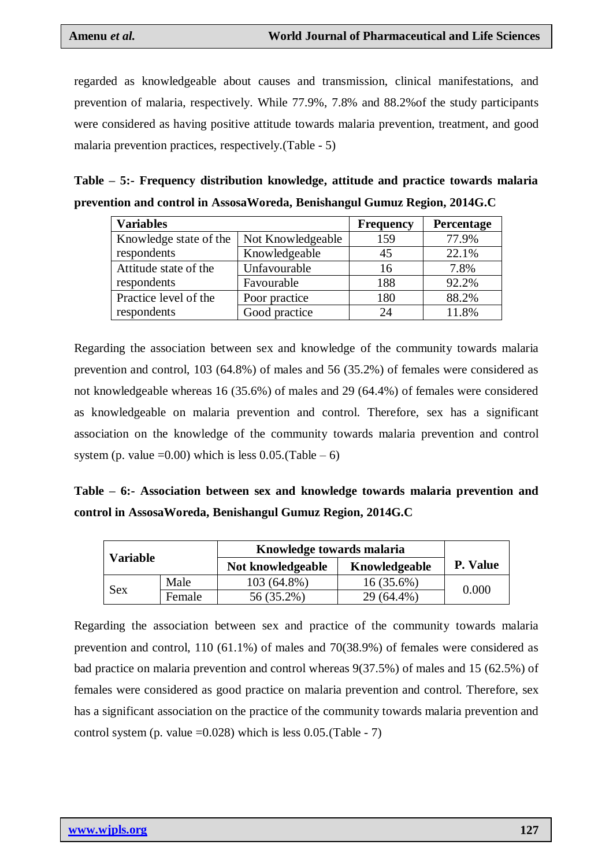regarded as knowledgeable about causes and transmission, clinical manifestations, and prevention of malaria, respectively. While 77.9%, 7.8% and 88.2%of the study participants were considered as having positive attitude towards malaria prevention, treatment, and good malaria prevention practices, respectively.(Table - 5)

| Table – 5:- Frequency distribution knowledge, attitude and practice towards malaria |  |  |  |
|-------------------------------------------------------------------------------------|--|--|--|
| prevention and control in AssosaWoreda, Benishangul Gumuz Region, 2014G.C           |  |  |  |

| <b>Variables</b>       |                   | <b>Frequency</b> | Percentage |
|------------------------|-------------------|------------------|------------|
| Knowledge state of the | Not Knowledgeable | 159              | 77.9%      |
| respondents            | Knowledgeable     | 45               | 22.1%      |
| Attitude state of the  | Unfavourable      | 16               | 7.8%       |
| respondents            | Favourable        | 188              | 92.2%      |
| Practice level of the  | Poor practice     | 180              | 88.2%      |
| respondents            | Good practice     | 24               | 11.8%      |

Regarding the association between sex and knowledge of the community towards malaria prevention and control, 103 (64.8%) of males and 56 (35.2%) of females were considered as not knowledgeable whereas 16 (35.6%) of males and 29 (64.4%) of females were considered as knowledgeable on malaria prevention and control. Therefore, sex has a significant association on the knowledge of the community towards malaria prevention and control system (p. value =0.00) which is less  $0.05$ .(Table – 6)

**Table – 6:- Association between sex and knowledge towards malaria prevention and control in AssosaWoreda, Benishangul Gumuz Region, 2014G.C**

| <b>Variable</b> |        | Knowledge towards malaria |               |          |  |
|-----------------|--------|---------------------------|---------------|----------|--|
|                 |        | Not knowledgeable         | Knowledgeable | P. Value |  |
|                 | Male   | 103 (64.8%)               | 16(35.6%)     | 0.000    |  |
| Sex             | Female | 56 (35.2%)                | 29 (64.4%)    |          |  |

Regarding the association between sex and practice of the community towards malaria prevention and control, 110 (61.1%) of males and 70(38.9%) of females were considered as bad practice on malaria prevention and control whereas 9(37.5%) of males and 15 (62.5%) of females were considered as good practice on malaria prevention and control. Therefore, sex has a significant association on the practice of the community towards malaria prevention and control system (p. value  $=0.028$ ) which is less 0.05.(Table - 7)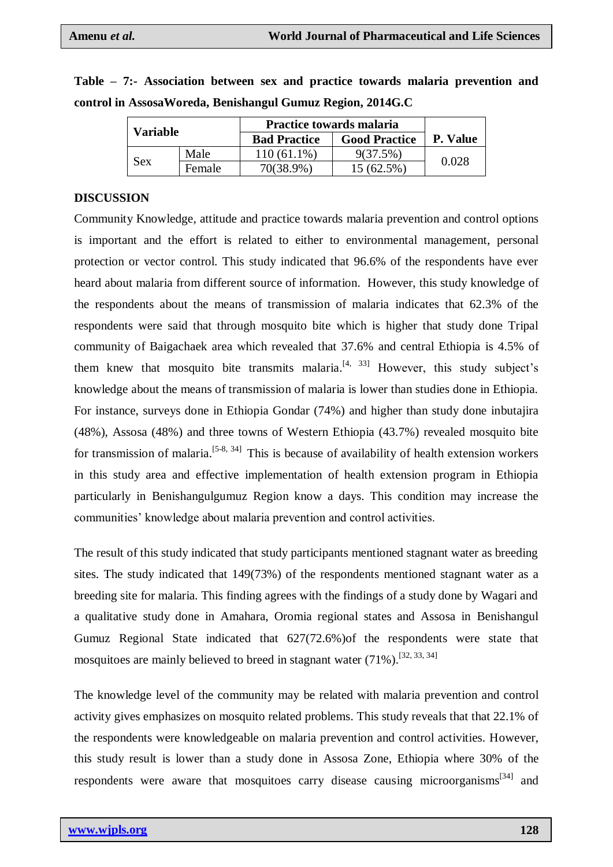| <b>Variable</b> |        | Practice towards malaria |            |       |  |
|-----------------|--------|--------------------------|------------|-------|--|
|                 |        | <b>Bad Practice</b>      | P. Value   |       |  |
| Sex             | Male   | $110(61.1\%)$            | 9(37.5%)   | 0.028 |  |
|                 | Female | 70(38.9%)                | 15 (62.5%) |       |  |

| Table – 7:- Association between sex and practice towards malaria prevention and |  |  |  |  |  |
|---------------------------------------------------------------------------------|--|--|--|--|--|
| control in Assosa Woreda, Benishangul Gumuz Region, 2014G.C                     |  |  |  |  |  |

#### **DISCUSSION**

Community Knowledge, attitude and practice towards malaria prevention and control options is important and the effort is related to either to environmental management, personal protection or vector control. This study indicated that 96.6% of the respondents have ever heard about malaria from different source of information. However, this study knowledge of the respondents about the means of transmission of malaria indicates that 62.3% of the respondents were said that through mosquito bite which is higher that study done Tripal community of Baigachaek area which revealed that 37.6% and central Ethiopia is 4.5% of them knew that mosquito bite transmits malaria.<sup>[4, 33]</sup> However, this study subject's knowledge about the means of transmission of malaria is lower than studies done in Ethiopia. For instance, surveys done in Ethiopia Gondar (74%) and higher than study done inbutajira (48%), Assosa (48%) and three towns of Western Ethiopia (43.7%) revealed mosquito bite for transmission of malaria.<sup>[5-8, 34]</sup> This is because of availability of health extension workers in this study area and effective implementation of health extension program in Ethiopia particularly in Benishangulgumuz Region know a days. This condition may increase the communities' knowledge about malaria prevention and control activities.

The result of this study indicated that study participants mentioned stagnant water as breeding sites. The study indicated that 149(73%) of the respondents mentioned stagnant water as a breeding site for malaria. This finding agrees with the findings of a study done by Wagari and a qualitative study done in Amahara, Oromia regional states and Assosa in Benishangul Gumuz Regional State indicated that 627(72.6%)of the respondents were state that mosquitoes are mainly believed to breed in stagnant water  $(71\%)$ . [32, 33, 34]

The knowledge level of the community may be related with malaria prevention and control activity gives emphasizes on mosquito related problems. This study reveals that that 22.1% of the respondents were knowledgeable on malaria prevention and control activities. However, this study result is lower than a study done in Assosa Zone, Ethiopia where 30% of the respondents were aware that mosquitoes carry disease causing microorganisms  $[34]$  and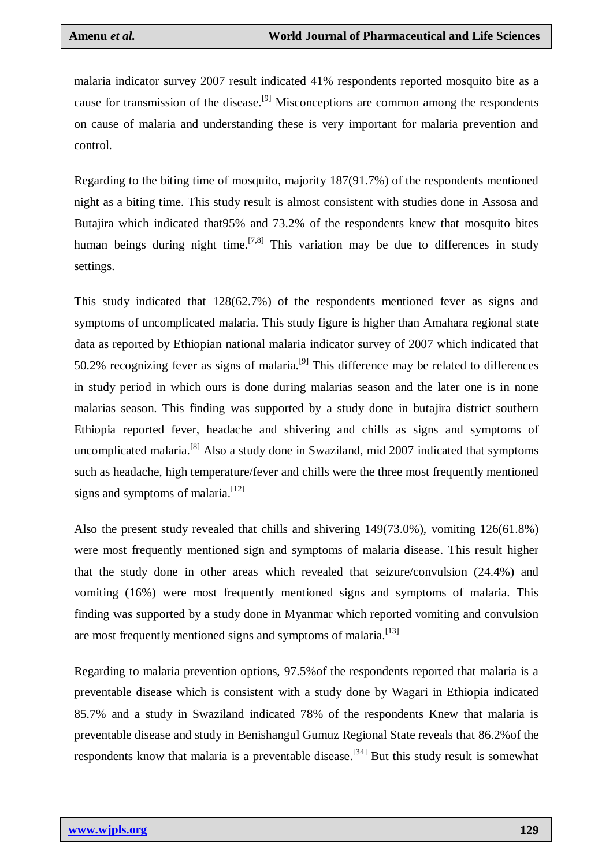malaria indicator survey 2007 result indicated 41% respondents reported mosquito bite as a cause for transmission of the disease.<sup>[9]</sup> Misconceptions are common among the respondents on cause of malaria and understanding these is very important for malaria prevention and control.

Regarding to the biting time of mosquito, majority 187(91.7%) of the respondents mentioned night as a biting time. This study result is almost consistent with studies done in Assosa and Butajira which indicated that95% and 73.2% of the respondents knew that mosquito bites human beings during night time.<sup>[7,8]</sup> This variation may be due to differences in study settings.

This study indicated that 128(62.7%) of the respondents mentioned fever as signs and symptoms of uncomplicated malaria. This study figure is higher than Amahara regional state data as reported by Ethiopian national malaria indicator survey of 2007 which indicated that 50.2% recognizing fever as signs of malaria.<sup>[9]</sup> This difference may be related to differences in study period in which ours is done during malarias season and the later one is in none malarias season. This finding was supported by a study done in butajira district southern Ethiopia reported fever, headache and shivering and chills as signs and symptoms of uncomplicated malaria.[8] Also a study done in Swaziland, mid 2007 indicated that symptoms such as headache, high temperature/fever and chills were the three most frequently mentioned signs and symptoms of malaria. $[12]$ 

Also the present study revealed that chills and shivering 149(73.0%), vomiting 126(61.8%) were most frequently mentioned sign and symptoms of malaria disease. This result higher that the study done in other areas which revealed that seizure/convulsion (24.4%) and vomiting (16%) were most frequently mentioned signs and symptoms of malaria. This finding was supported by a study done in Myanmar which reported vomiting and convulsion are most frequently mentioned signs and symptoms of malaria.<sup>[13]</sup>

Regarding to malaria prevention options, 97.5%of the respondents reported that malaria is a preventable disease which is consistent with a study done by Wagari in Ethiopia indicated 85.7% and a study in Swaziland indicated 78% of the respondents Knew that malaria is preventable disease and study in Benishangul Gumuz Regional State reveals that 86.2%of the respondents know that malaria is a preventable disease.<sup>[34]</sup> But this study result is somewhat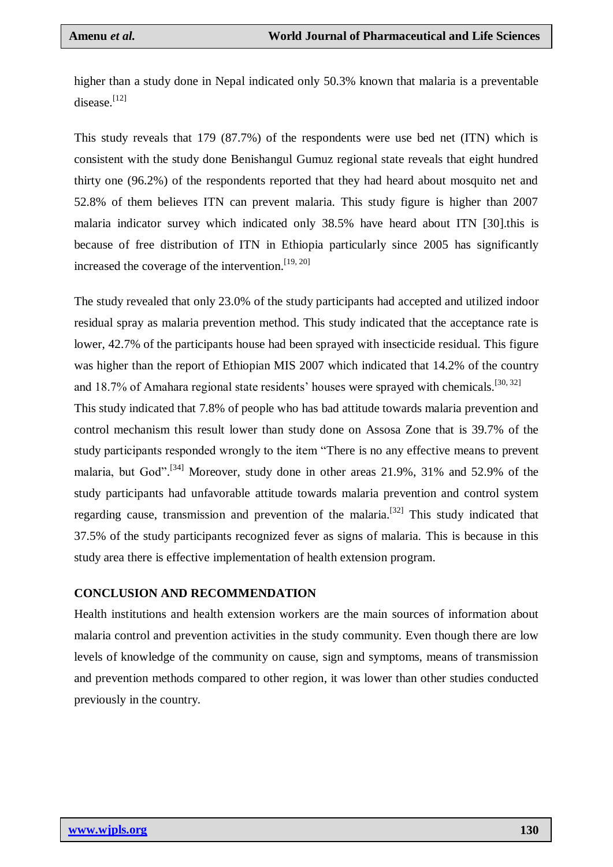higher than a study done in Nepal indicated only 50.3% known that malaria is a preventable disease.[12]

This study reveals that 179 (87.7%) of the respondents were use bed net (ITN) which is consistent with the study done Benishangul Gumuz regional state reveals that eight hundred thirty one (96.2%) of the respondents reported that they had heard about mosquito net and 52.8% of them believes ITN can prevent malaria. This study figure is higher than 2007 malaria indicator survey which indicated only 38.5% have heard about ITN [30].this is because of free distribution of ITN in Ethiopia particularly since 2005 has significantly increased the coverage of the intervention.<sup>[19, 20]</sup>

The study revealed that only 23.0% of the study participants had accepted and utilized indoor residual spray as malaria prevention method. This study indicated that the acceptance rate is lower, 42.7% of the participants house had been sprayed with insecticide residual. This figure was higher than the report of Ethiopian MIS 2007 which indicated that 14.2% of the country and 18.7% of Amahara regional state residents' houses were sprayed with chemicals.<sup>[30, 32]</sup>

This study indicated that 7.8% of people who has bad attitude towards malaria prevention and control mechanism this result lower than study done on Assosa Zone that is 39.7% of the study participants responded wrongly to the item "There is no any effective means to prevent malaria, but God".<sup>[34]</sup> Moreover, study done in other areas  $21.9\%$ ,  $31\%$  and  $52.9\%$  of the study participants had unfavorable attitude towards malaria prevention and control system regarding cause, transmission and prevention of the malaria.<sup>[32]</sup> This study indicated that 37.5% of the study participants recognized fever as signs of malaria. This is because in this study area there is effective implementation of health extension program.

#### **CONCLUSION AND RECOMMENDATION**

Health institutions and health extension workers are the main sources of information about malaria control and prevention activities in the study community. Even though there are low levels of knowledge of the community on cause, sign and symptoms, means of transmission and prevention methods compared to other region, it was lower than other studies conducted previously in the country.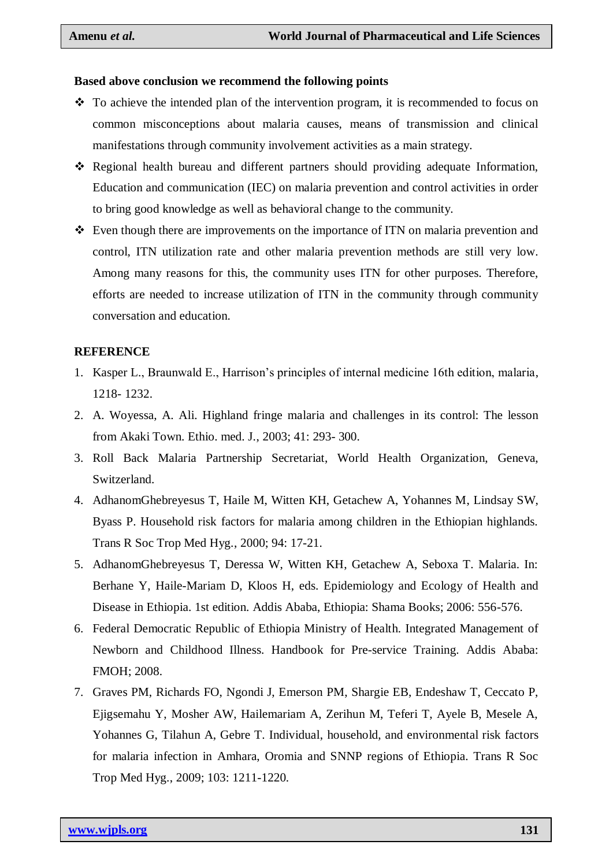#### **Based above conclusion we recommend the following points**

- $\cdot \cdot$  To achieve the intended plan of the intervention program, it is recommended to focus on common misconceptions about malaria causes, means of transmission and clinical manifestations through community involvement activities as a main strategy.
- Regional health bureau and different partners should providing adequate Information, Education and communication (IEC) on malaria prevention and control activities in order to bring good knowledge as well as behavioral change to the community.
- Even though there are improvements on the importance of ITN on malaria prevention and control, ITN utilization rate and other malaria prevention methods are still very low. Among many reasons for this, the community uses ITN for other purposes. Therefore, efforts are needed to increase utilization of ITN in the community through community conversation and education.

#### **REFERENCE**

- 1. Kasper L., Braunwald E., Harrison's principles of internal medicine 16th edition, malaria, 1218- 1232.
- 2. A. Woyessa, A. Ali. Highland fringe malaria and challenges in its control: The lesson from Akaki Town. Ethio. med. J., 2003; 41: 293- 300.
- 3. Roll Back Malaria Partnership Secretariat, World Health Organization, Geneva, Switzerland.
- 4. AdhanomGhebreyesus T, Haile M, Witten KH, Getachew A, Yohannes M, Lindsay SW, Byass P. Household risk factors for malaria among children in the Ethiopian highlands. Trans R Soc Trop Med Hyg., 2000; 94: 17-21.
- 5. AdhanomGhebreyesus T, Deressa W, Witten KH, Getachew A, Seboxa T. Malaria. In: Berhane Y, Haile-Mariam D, Kloos H, eds. Epidemiology and Ecology of Health and Disease in Ethiopia. 1st edition. Addis Ababa, Ethiopia: Shama Books; 2006: 556-576.
- 6. Federal Democratic Republic of Ethiopia Ministry of Health. Integrated Management of Newborn and Childhood Illness. Handbook for Pre-service Training. Addis Ababa: FMOH; 2008.
- 7. Graves PM, Richards FO, Ngondi J, Emerson PM, Shargie EB, Endeshaw T, Ceccato P, Ejigsemahu Y, Mosher AW, Hailemariam A, Zerihun M, Teferi T, Ayele B, Mesele A, Yohannes G, Tilahun A, Gebre T. Individual, household, and environmental risk factors for malaria infection in Amhara, Oromia and SNNP regions of Ethiopia. Trans R Soc Trop Med Hyg., 2009; 103: 1211-1220.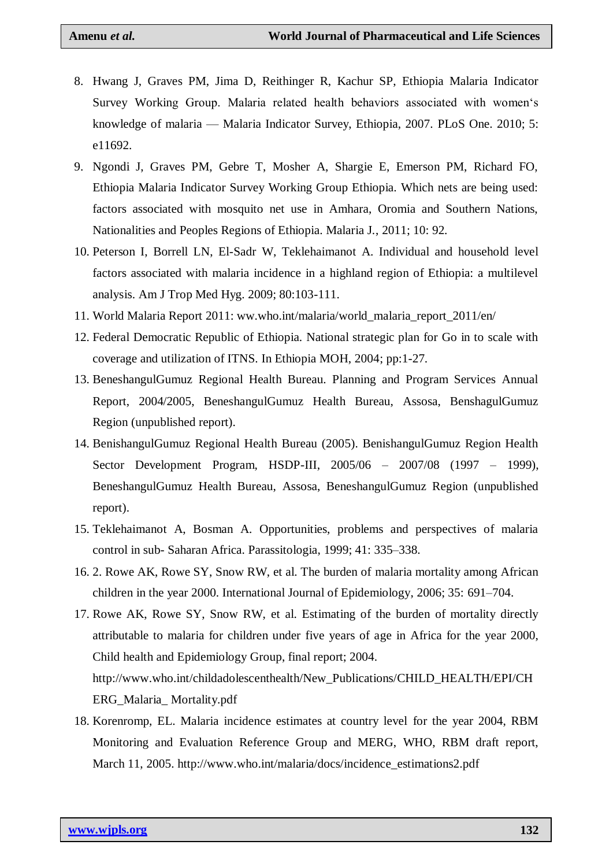- 8. Hwang J, Graves PM, Jima D, Reithinger R, Kachur SP, Ethiopia Malaria Indicator Survey Working Group. Malaria related health behaviors associated with women's knowledge of malaria — Malaria Indicator Survey, Ethiopia, 2007. PLoS One. 2010; 5: e11692.
- 9. Ngondi J, Graves PM, Gebre T, Mosher A, Shargie E, Emerson PM, Richard FO, Ethiopia Malaria Indicator Survey Working Group Ethiopia. Which nets are being used: factors associated with mosquito net use in Amhara, Oromia and Southern Nations, Nationalities and Peoples Regions of Ethiopia. Malaria J., 2011; 10: 92.
- 10. Peterson I, Borrell LN, El-Sadr W, Teklehaimanot A. Individual and household level factors associated with malaria incidence in a highland region of Ethiopia: a multilevel analysis. Am J Trop Med Hyg. 2009; 80:103-111.
- 11. World Malaria Report 2011: ww.who.int/malaria/world\_malaria\_report\_2011/en/
- 12. Federal Democratic Republic of Ethiopia. National strategic plan for Go in to scale with coverage and utilization of ITNS. In Ethiopia MOH, 2004; pp:1-27.
- 13. BeneshangulGumuz Regional Health Bureau. Planning and Program Services Annual Report, 2004/2005, BeneshangulGumuz Health Bureau, Assosa, BenshagulGumuz Region (unpublished report).
- 14. BenishangulGumuz Regional Health Bureau (2005). BenishangulGumuz Region Health Sector Development Program, HSDP-III, 2005/06 – 2007/08 (1997 – 1999), BeneshangulGumuz Health Bureau, Assosa, BeneshangulGumuz Region (unpublished report).
- 15. Teklehaimanot A, Bosman A. Opportunities, problems and perspectives of malaria control in sub- Saharan Africa. Parassitologia, 1999; 41: 335–338.
- 16. 2. Rowe AK, Rowe SY, Snow RW, et al. The burden of malaria mortality among African children in the year 2000. International Journal of Epidemiology, 2006; 35: 691–704.
- 17. Rowe AK, Rowe SY, Snow RW, et al. Estimating of the burden of mortality directly attributable to malaria for children under five years of age in Africa for the year 2000, Child health and Epidemiology Group, final report; 2004. http://www.who.int/childadolescenthealth/New\_Publications/CHILD\_HEALTH/EPI/CH ERG\_Malaria\_ Mortality.pdf
- 18. Korenromp, EL. Malaria incidence estimates at country level for the year 2004, RBM Monitoring and Evaluation Reference Group and MERG, WHO, RBM draft report, March 11, 2005. http://www.who.int/malaria/docs/incidence\_estimations2.pdf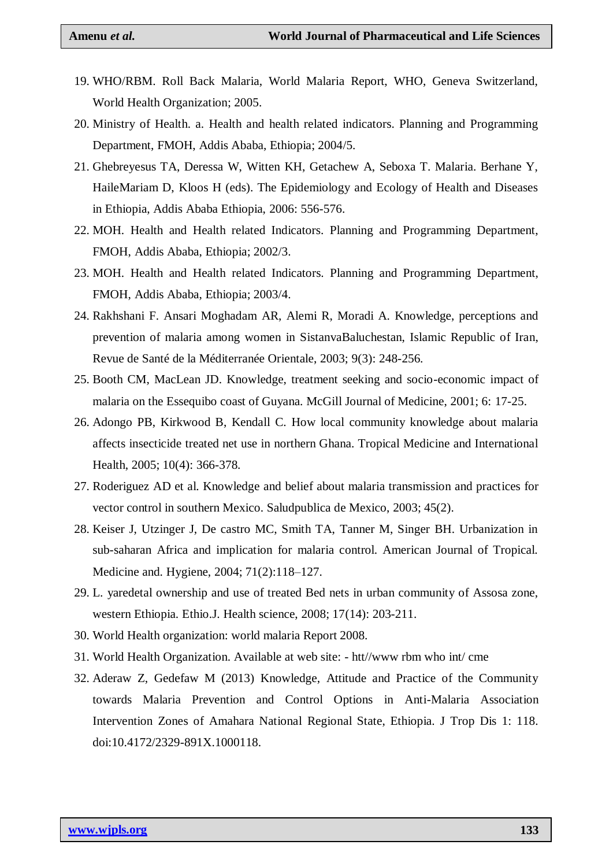- 19. WHO/RBM. Roll Back Malaria, World Malaria Report, WHO, Geneva Switzerland, World Health Organization; 2005.
- 20. Ministry of Health. a. Health and health related indicators. Planning and Programming Department, FMOH, Addis Ababa, Ethiopia; 2004/5.
- 21. Ghebreyesus TA, Deressa W, Witten KH, Getachew A, Seboxa T. Malaria. Berhane Y, HaileMariam D, Kloos H (eds). The Epidemiology and Ecology of Health and Diseases in Ethiopia, Addis Ababa Ethiopia, 2006: 556-576.
- 22. MOH. Health and Health related Indicators. Planning and Programming Department, FMOH, Addis Ababa, Ethiopia; 2002/3.
- 23. MOH. Health and Health related Indicators. Planning and Programming Department, FMOH, Addis Ababa, Ethiopia; 2003/4.
- 24. Rakhshani F. Ansari Moghadam AR, Alemi R, Moradi A. Knowledge, perceptions and prevention of malaria among women in SistanvaBaluchestan, Islamic Republic of Iran, Revue de Santé de la Méditerranée Orientale, 2003; 9(3): 248-256.
- 25. Booth CM, MacLean JD. Knowledge, treatment seeking and socio-economic impact of malaria on the Essequibo coast of Guyana. McGill Journal of Medicine, 2001; 6: 17-25.
- 26. Adongo PB, Kirkwood B, Kendall C. How local community knowledge about malaria affects insecticide treated net use in northern Ghana. Tropical Medicine and International Health, 2005; 10(4): 366-378.
- 27. Roderiguez AD et al. Knowledge and belief about malaria transmission and practices for vector control in southern Mexico. Saludpublica de Mexico, 2003; 45(2).
- 28. Keiser J, Utzinger J, De castro MC, Smith TA, Tanner M, Singer BH. Urbanization in sub-saharan Africa and implication for malaria control. American Journal of Tropical. Medicine and. Hygiene, 2004; 71(2):118–127.
- 29. L. yaredetal ownership and use of treated Bed nets in urban community of Assosa zone, western Ethiopia. Ethio.J. Health science, 2008; 17(14): 203-211.
- 30. World Health organization: world malaria Report 2008.
- 31. World Health Organization. Available at web site: htt//www rbm who int/ cme
- 32. Aderaw Z, Gedefaw M (2013) Knowledge, Attitude and Practice of the Community towards Malaria Prevention and Control Options in Anti-Malaria Association Intervention Zones of Amahara National Regional State, Ethiopia. J Trop Dis 1: 118. doi:10.4172/2329-891X.1000118.